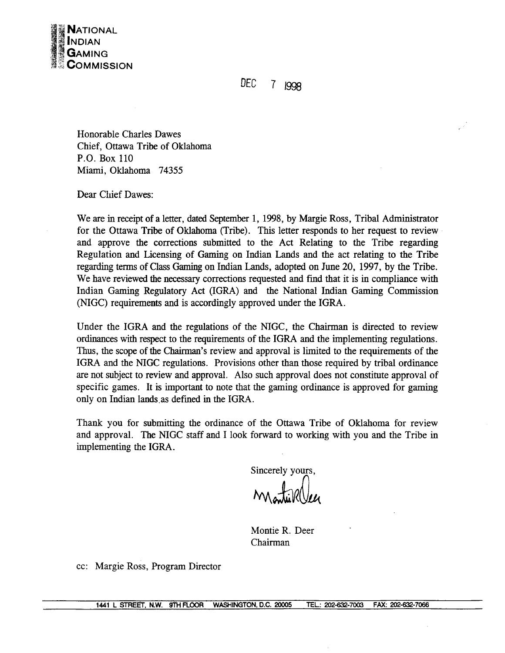

 $DEFC$ 7 1998

Honorable Charles Dawes Chief, Ottawa Tribe of Oklahoma P.O. Box 110 Miami, Oklahoma 74355

Dear Chief Dawes:

We are in receipt of a letter, dated September 1, 1998, by Margie Ross, Tribal Administrator for the Ottawa Tribe of Oklahoma (Tribe). This letter responds to her request to review and approve the corrections submitted to the Act Relating to the Tribe regarding Regulation and Licensing of Gaming on Indian Lands and the act relating to the Tribe regarding terms of Class Gaming on Indian Lands, adopted on June 20, 1997, by the Tribe. We have reviewed the necessary corrections requested and find that it is in compliance with Indian Gaming Regulatory Act (IGRA) and the National Indian Gaming Commission (NIGC) requirements and is accordingly approved under the IGRA.

Under the IGRA and the regulations of the NIGC, the Chairman is directed to review ordinances with respect to the requirements of the IGRA and the implementing regulations. Thus, the scope of the Chairman's review and approval is limited to the requirements of the IGRA and the NIGC regulations. Provisions other than those required by tribal ordinance are not subject to review and approval. Also such approval does not constitute approval of specific games. It is important to note that the gaming ordinance is approved for gaming only on Indian lands as defined in the IGRA.

Thank you for submitting the ordinance of the Ottawa Tribe of Oklahoma for review and approval. The NIGC staff and I look forward to working with you and the Tribe in implementing the IGRA.

Sincerely yours,

Montie R. Deer Chairman

cc: Margie Ross, Program Director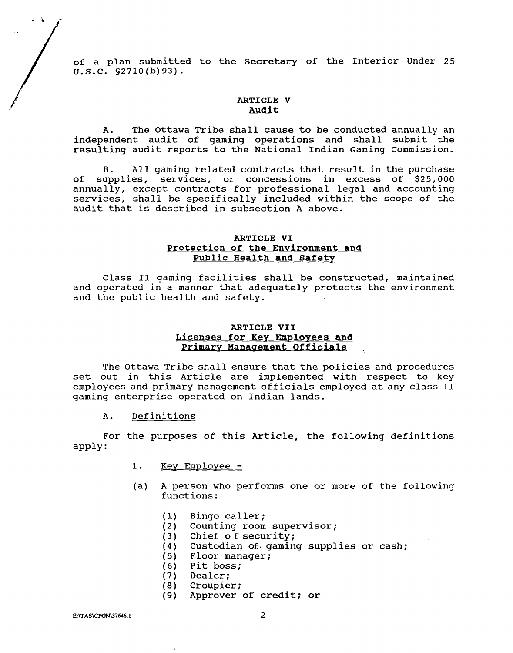of a plan submitted to the Secretary of the Interior Under 25<br>U.S.C.  $\frac{52710(b)93}{b}$ .<br>ARTICLE V<br>ANDICLE V<br>ANDICLE V **U.S.C.** s2710 (b) 93).

# **ARTICLE V Audit**

A. The Ottawa Tribe shall cause to be conducted annually an independent audit of gaming operations and shall submit the resulting audit reports to the National Indian Gaming Commission.

**B.** All gaming related contracts that result in the purchase of supplies, services, or concessions in excess of \$25,000 annually, except contracts for professional legal and accounting services, shall be specifically included within the scope of the audit that is described in subsection A above.

## **ARTICLE VI Protection of the Environment and Public Health and Safety**

Class I1 gaming facilities shall be constructed, maintained and operated in a manner that adequately protects the environment and the public health and safety.

## **ARTICLE VII**  Licenses for Key Employees and **Primary Manaqement Officials** .

The Ottawa Tribe shall ensure that the policies and procedures set out in this Article are implemented with respect to key employees and primary management officials employed at any class **I1**  gaming enterprise operated on Indian lands.

A. Definitions

For the purposes of this Article, the following definitions apply:

- 1. Key Employee -
- (a) **A** person who performs one or more of the following functions:
	- Bingo caller;  $(1)$
	- Counting room supervisor;  $(2)$
	- $(3)$ Chief of security;
	- $(4)$ Custodian of. gaming supplies or cash;
	- $(5)$ Floor manager;
	- Pit boss;  $(6)$
	- Dealer;  $(7)$
	- Croupier;  $(8)$
	- Approver of credit; or  $(9)$

E:\TAS\CPGN\37646.1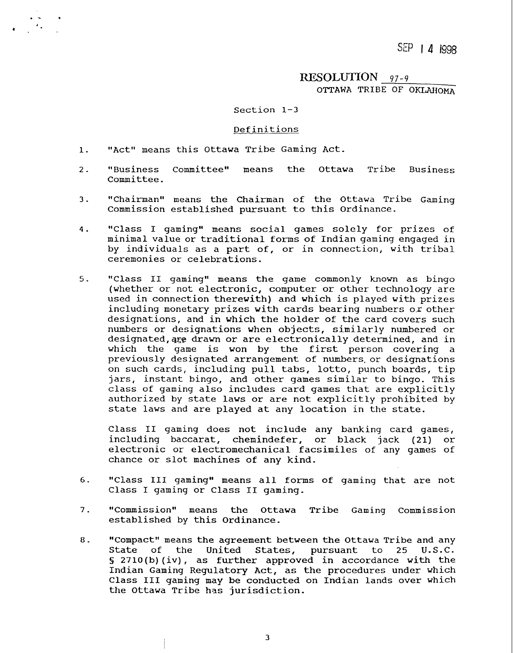$SEP + A + 1998$ 

 $RESOLUTION$  97-9 OTTAWA TRIBE OF OKLAHOMA

### Section 1-3

#### Definitions

- "Act" means this Ottawa Tribe Gaming Act.  $1.$
- "Business Committee" means the Ottawa Tribe Business  $\overline{2}$ . Committee.
- $3<sub>1</sub>$ "Chairman" means the Chairman of the Ottawa Tribe Gaming Commission established pursuant to this Ordinance.
- "Class I gaming" means social games solely for prizes of  $4.$ minimal value or traditional forms of 1ndian gaming engaged in by individuals as a part of, or in connection, with tribal ceremonies or celebrations.
- $5.$ "Class **I1** gaming" means the game commonly known as bingo (whether or not electronic, computer or other technology are used in connection therewith) and which is played with prizes including monetary prizes with cards bearing numbers or other designations, and in which the holder of the card covers such numbers or designations when objects, similarly numbered or designated, are drawn or are electronically determined, and in which the game is won by the first person covering a previously designated arrangement of numbers,or designations on such cards, including pull tabs, lotto, punch boards, tip jars, instant bingo, and other games similar to bingo. This class of gaming also includes card games that are explicitly authorized by state laws or are not explicitly prohibited by state laws and are played at any location in the state.

Class I1 gaming does not include any banking card games, including baccarat, chemindefer, or black jack (21) or electronic or electromechanical facsimiles of any games of chance or slot machines of any kind.

- $6.$ "Class I11 gaming" means all forms of gaming that are not Class I gaming or Class I1 gaming.
- $7.$ "Commission" means the Ottawa Tribe Gaming Commission established by this Ordinance.
- 8. "Compact" means the agreement between the Ottawa Tribe and any<br>State of the United States, pursuant to 25 U.S.C. of the United States, pursuant to **S** 2710(b)(iv), as further approved in accordance with the Indian Gaming Regulatory Act, as the procedures under which Class I11 gaming may be conducted on Indian lands over which the Ottawa Tribe has jurisdiction.

 $\mathbf{3}$